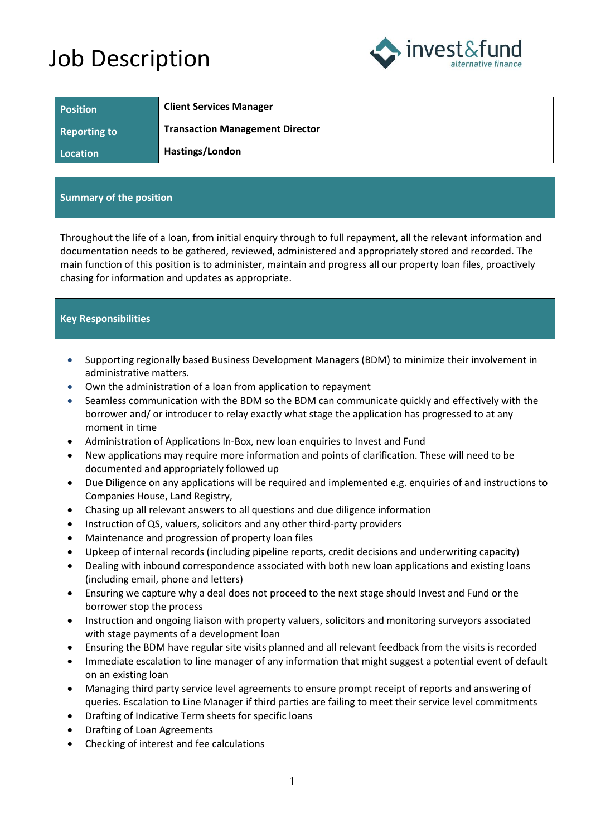## Job Description



| <b>Position</b>     | <b>Client Services Manager</b>         |
|---------------------|----------------------------------------|
| <b>Reporting to</b> | <b>Transaction Management Director</b> |
| Location            | Hastings/London                        |

## **Summary of the position**

Throughout the life of a loan, from initial enquiry through to full repayment, all the relevant information and documentation needs to be gathered, reviewed, administered and appropriately stored and recorded. The main function of this position is to administer, maintain and progress all our property loan files, proactively chasing for information and updates as appropriate.

## **Key Responsibilities**

- Supporting regionally based Business Development Managers (BDM) to minimize their involvement in administrative matters.
- Own the administration of a loan from application to repayment
- Seamless communication with the BDM so the BDM can communicate quickly and effectively with the borrower and/ or introducer to relay exactly what stage the application has progressed to at any moment in time
- Administration of Applications In-Box, new loan enquiries to Invest and Fund
- New applications may require more information and points of clarification. These will need to be documented and appropriately followed up
- Due Diligence on any applications will be required and implemented e.g. enquiries of and instructions to Companies House, Land Registry,
- Chasing up all relevant answers to all questions and due diligence information
- Instruction of QS, valuers, solicitors and any other third-party providers
- Maintenance and progression of property loan files
- Upkeep of internal records (including pipeline reports, credit decisions and underwriting capacity)
- Dealing with inbound correspondence associated with both new loan applications and existing loans (including email, phone and letters)
- Ensuring we capture why a deal does not proceed to the next stage should Invest and Fund or the borrower stop the process
- Instruction and ongoing liaison with property valuers, solicitors and monitoring surveyors associated with stage payments of a development loan
- Ensuring the BDM have regular site visits planned and all relevant feedback from the visits is recorded
- Immediate escalation to line manager of any information that might suggest a potential event of default on an existing loan
- Managing third party service level agreements to ensure prompt receipt of reports and answering of queries. Escalation to Line Manager if third parties are failing to meet their service level commitments
- Drafting of Indicative Term sheets for specific loans
- Drafting of Loan Agreements
- Checking of interest and fee calculations